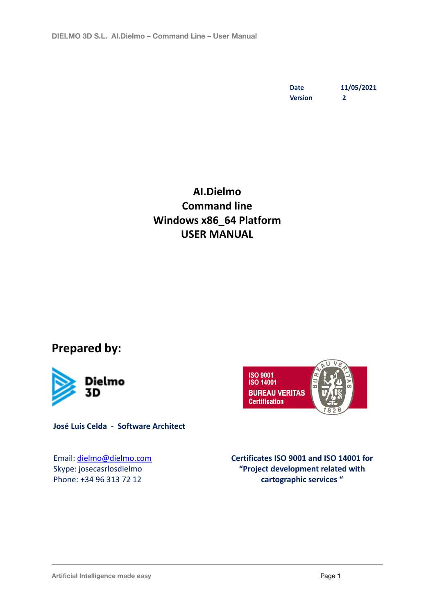**Date 11/05/2021 Version 2**

### **AI.Dielmo Command line Windows x86\_64 Platform USER MANUAL**

**Prepared by:**



**José Luis Celda - Software Architect**

Email: [dielmo@dielmo.com](mailto:dielmo@dielmo.com) Skype: josecasrlosdielmo Phone: +34 96 313 72 12



**Certificates ISO 9001 and ISO 14001 for "Project development related with cartographic services "**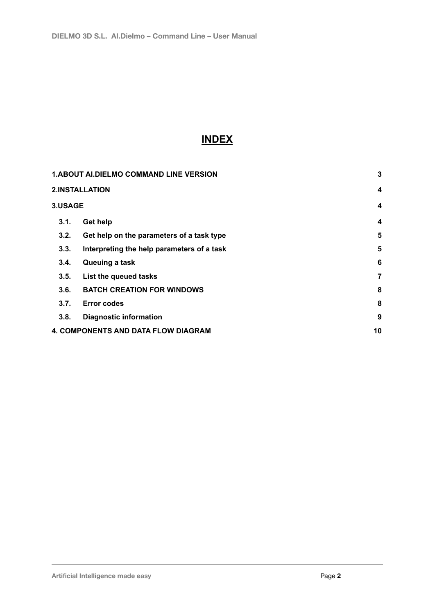### **INDEX**

| <b>1.ABOUT AI.DIELMO COMMAND LINE VERSION</b> |                                            | $\mathbf{3}$     |
|-----------------------------------------------|--------------------------------------------|------------------|
|                                               | <b>2.INSTALLATION</b>                      | $\boldsymbol{4}$ |
| 3.USAGE                                       |                                            | 4                |
| 3.1.                                          | <b>Get help</b>                            | 4                |
| 3.2.                                          | Get help on the parameters of a task type  | $5\phantom{.0}$  |
| 3.3.                                          | Interpreting the help parameters of a task | 5                |
| 3.4.                                          | Queuing a task                             | 6                |
| 3.5.                                          | List the queued tasks                      | 7                |
| 3.6.                                          | <b>BATCH CREATION FOR WINDOWS</b>          | 8                |
| 3.7.                                          | <b>Error codes</b>                         | 8                |
| 3.8.                                          | <b>Diagnostic information</b>              | 9                |
|                                               | <b>4. COMPONENTS AND DATA FLOW DIAGRAM</b> | 10               |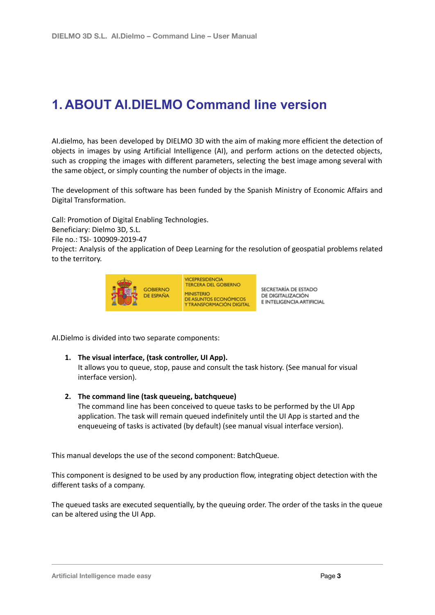# <span id="page-2-0"></span>**1. ABOUT AI.DIELMO Command line version**

AI.dielmo, has been developed by DIELMO 3D with the aim of making more efficient the detection of objects in images by using Artificial Intelligence (AI), and perform actions on the detected objects, such as cropping the images with different parameters, selecting the best image among several with the same object, or simply counting the number of objects in the image.

The development of this software has been funded by the Spanish Ministry of Economic Affairs and Digital Transformation.

Call: Promotion of Digital Enabling Technologies.

Beneficiary: Dielmo 3D, S.L.

File no.: TSI- 100909-2019-47

Project: Analysis of the application of Deep Learning for the resolution of geospatial problems related to the territory.



SECRETARÍA DE ESTADO DE DIGITALIZACIÓN E INTELIGENCIA ARTIFICIAL

AI.Dielmo is divided into two separate components:

#### **1. The visual interface, (task controller, UI App).**

It allows you to queue, stop, pause and consult the task history. (See manual for visual interface version).

#### **2. The command line (task queueing, batchqueue)**

The command line has been conceived to queue tasks to be performed by the UI App application. The task will remain queued indefinitely until the UI App is started and the enqueueing of tasks is activated (by default) (see manual visual interface version).

This manual develops the use of the second component: BatchQueue.

This component is designed to be used by any production flow, integrating object detection with the different tasks of a company.

The queued tasks are executed sequentially, by the queuing order. The order of the tasks in the queue can be altered using the UI App.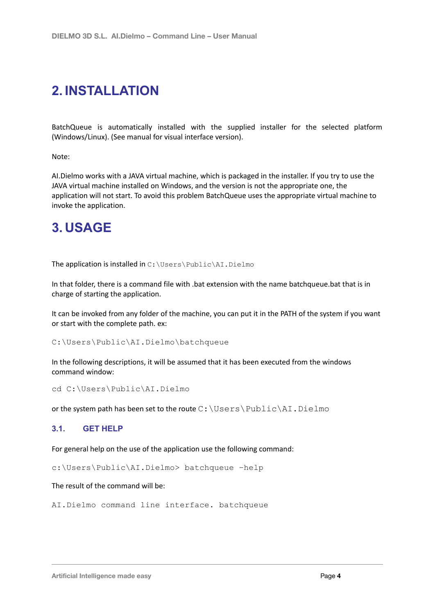# <span id="page-3-0"></span>**2. INSTALLATION**

BatchQueue is automatically installed with the supplied installer for the selected platform (Windows/Linux). (See manual for visual interface version).

Note:

AI.Dielmo works with a JAVA virtual machine, which is packaged in the installer. If you try to use the JAVA virtual machine installed on Windows, and the version is not the appropriate one, the application will not start. To avoid this problem BatchQueue uses the appropriate virtual machine to invoke the application.

### <span id="page-3-1"></span>**3. USAGE**

The application is installed in C: \Users\Public\AI.Dielmo

In that folder, there is a command file with .bat extension with the name batchqueue.bat that is in charge of starting the application.

It can be invoked from any folder of the machine, you can put it in the PATH of the system if you want or start with the complete path. ex:

C:\Users\Public\AI.Dielmo\batchqueue

In the following descriptions, it will be assumed that it has been executed from the windows command window:

```
cd C:\Users\Public\AI.Dielmo
```
or the system path has been set to the route  $C:\Upsilon\$  Public  $\AI$ . Dielmo

#### **3.1. GET HELP**

For general help on the use of the application use the following command:

c:\Users\Public\AI.Dielmo> batchqueue –help

#### The result of the command will be:

AI.Dielmo command line interface. batchqueue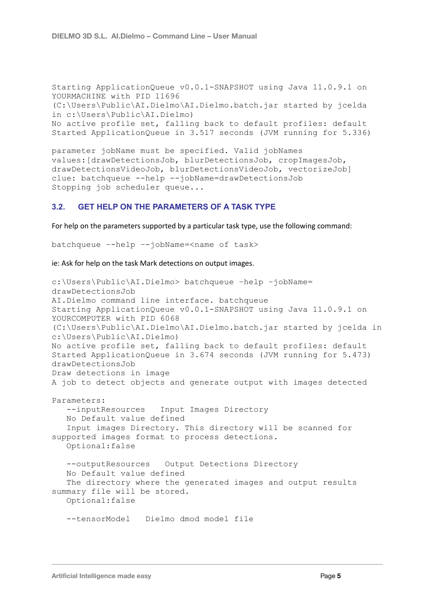```
Starting ApplicationQueue v0.0.1-SNAPSHOT using Java 11.0.9.1 on
YOURMACHINE with PID 11696
(C:\Users\Public\AI.Dielmo\AI.Dielmo.batch.jar started by jcelda
in c:\Users\Public\AI.Dielmo)
No active profile set, falling back to default profiles: default
Started ApplicationQueue in 3.517 seconds (JVM running for 5.336)
```
parameter jobName must be specified. Valid jobNames values:[drawDetectionsJob, blurDetectionsJob, cropImagesJob, drawDetectionsVideoJob, blurDetectionsVideoJob, vectorizeJob] clue: batchqueue --help --jobName=drawDetectionsJob Stopping job scheduler queue...

#### **3.2. GET HELP ON THE PARAMETERS OF A TASK TYPE**

For help on the parameters supported by a particular task type, use the following command:

batchqueue –-help –-jobName=<name of task>

ie: Ask for help on the task Mark detections on output images.

```
c:\Users\Public\AI.Dielmo> batchqueue –help –jobName=
drawDetectionsJob
AI.Dielmo command line interface. batchqueue
Starting ApplicationQueue v0.0.1-SNAPSHOT using Java 11.0.9.1 on
YOURCOMPUTER with PID 6068
(C:\Users\Public\AI.Dielmo\AI.Dielmo.batch.jar started by jcelda in
c:\Users\Public\AI.Dielmo)
No active profile set, falling back to default profiles: default
Started ApplicationQueue in 3.674 seconds (JVM running for 5.473)
drawDetectionsJob
Draw detections in image
A job to detect objects and generate output with images detected
Parameters:
   --inputResources Input Images Directory
   No Default value defined
   Input images Directory. This directory will be scanned for
supported images format to process detections.
   Optional:false
   --outputResources Output Detections Directory
   No Default value defined
   The directory where the generated images and output results
summary file will be stored.
   Optional:false
   --tensorModel Dielmo dmod model file
```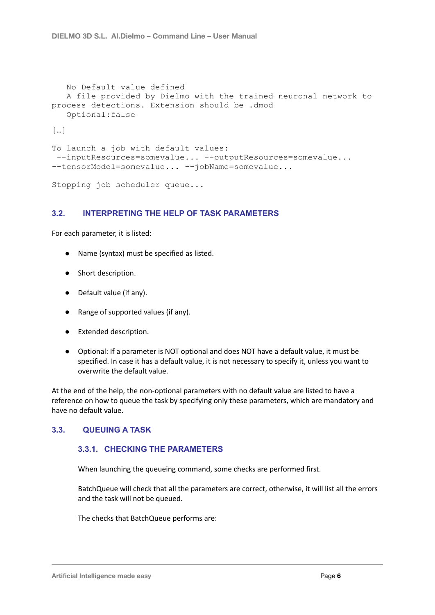```
No Default value defined
  A file provided by Dielmo with the trained neuronal network to
process detections. Extension should be .dmod
   Optional:false
[…]
To launch a job with default values:
 --inputResources=somevalue... --outputResources=somevalue...
--tensorModel=somevalue... --jobName=somevalue...
```

```
Stopping job scheduler queue...
```
#### <span id="page-5-0"></span>**3.2. INTERPRETING THE HELP OF TASK PARAMETERS**

For each parameter, it is listed:

- Name (syntax) must be specified as listed.
- Short description.
- Default value (if any).
- Range of supported values (if any).
- Extended description.
- Optional: If a parameter is NOT optional and does NOT have a default value, it must be specified. In case it has a default value, it is not necessary to specify it, unless you want to overwrite the default value.

At the end of the help, the non-optional parameters with no default value are listed to have a reference on how to queue the task by specifying only these parameters, which are mandatory and have no default value.

#### **3.3. QUEUING A TASK**

#### **3.3.1. CHECKING THE PARAMETERS**

When launching the queueing command, some checks are performed first.

BatchQueue will check that all the parameters are correct, otherwise, it will list all the errors and the task will not be queued.

The checks that BatchQueue performs are: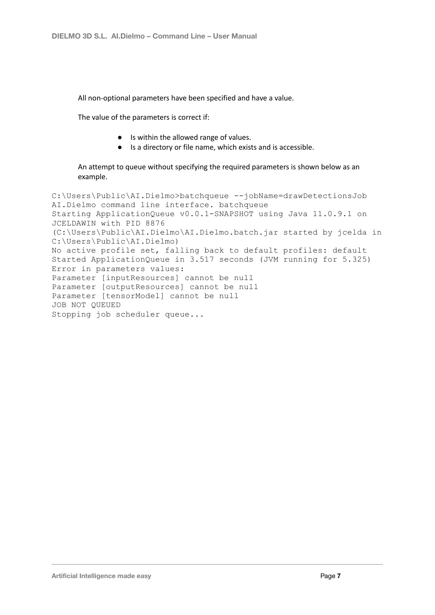All non-optional parameters have been specified and have a value.

The value of the parameters is correct if:

- Is within the allowed range of values.
- Is a directory or file name, which exists and is accessible.

#### An attempt to queue without specifying the required parameters is shown below as an example.

C:\Users\Public\AI.Dielmo>batchqueue --jobName=drawDetectionsJob AI.Dielmo command line interface. batchqueue Starting ApplicationQueue v0.0.1-SNAPSHOT using Java 11.0.9.1 on JCELDAWIN with PID 8876 (C:\Users\Public\AI.Dielmo\AI.Dielmo.batch.jar started by jcelda in C:\Users\Public\AI.Dielmo) No active profile set, falling back to default profiles: default Started ApplicationQueue in 3.517 seconds (JVM running for 5.325) Error in parameters values: Parameter [inputResources] cannot be null Parameter [outputResources] cannot be null Parameter [tensorModel] cannot be null JOB NOT QUEUED Stopping job scheduler queue...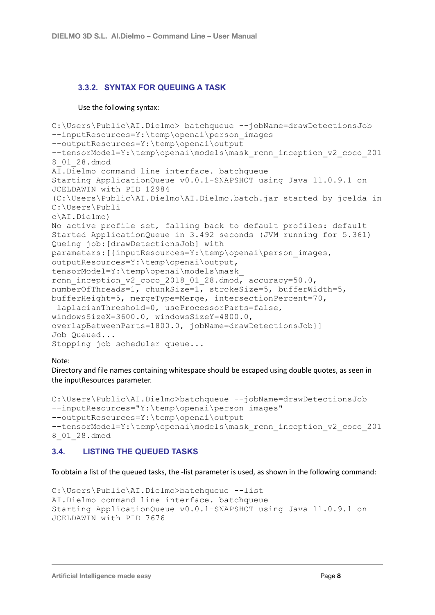### **3.3.2. SYNTAX FOR QUEUING A TASK**

#### Use the following syntax:

```
C:\Users\Public\AI.Dielmo> batchqueue --jobName=drawDetectionsJob
--inputResources=Y:\temp\openai\person_images
--outputResources=Y:\temp\openai\output
--tensorModel=Y:\temp\openai\models\mask rcnn inception v2 coco 201
8_01_28.dmod
AI.Dielmo command line interface. batchqueue
Starting ApplicationQueue v0.0.1-SNAPSHOT using Java 11.0.9.1 on
JCELDAWIN with PID 12984
(C:\Users\Public\AI.Dielmo\AI.Dielmo.batch.jar started by jcelda in
C:\Users\Publi
c\AI.Dielmo)
No active profile set, falling back to default profiles: default
Started ApplicationQueue in 3.492 seconds (JVM running for 5.361)
Queing job:[drawDetectionsJob] with
parameters:[{inputResources=Y:\temp\openai\person_images,
outputResources=Y:\temp\openai\output,
tensorModel=Y:\temp\openai\models\mask_
rcnn inception v2 coco 2018 01 28.dmod, accuracy=50.0,
numberOfThreads=1, chunkSize=1, strokeSize=5, bufferWidth=5,
bufferHeight=5, mergeType=Merge, intersectionPercent=70,
 laplacianThreshold=0, useProcessorParts=false,
windowsSizeX=3600.0, windowsSizeY=4800.0,
overlapBetweenParts=1800.0, jobName=drawDetectionsJob}]
Job Queued...
Stopping job scheduler queue...
```
#### Note:

Directory and file names containing whitespace should be escaped using double quotes, as seen in the inputResources parameter.

```
C:\Users\Public\AI.Dielmo>batchqueue --jobName=drawDetectionsJob
--inputResources="Y:\temp\openai\person images"
--outputResources=Y:\temp\openai\output
--tensorModel=Y:\temp\openai\models\mask rcnn inception v2 coco 201
8_01_28.dmod
```
#### **3.4. LISTING THE QUEUED TASKS**

To obtain a list of the queued tasks, the -list parameter is used, as shown in the following command:

```
C:\Users\Public\AI.Dielmo>batchqueue --list
AI. Dielmo command line interface. batchqueue
Starting ApplicationQueue v0.0.1-SNAPSHOT using Java 11.0.9.1 on
JCELDAWIN with PID 7676
```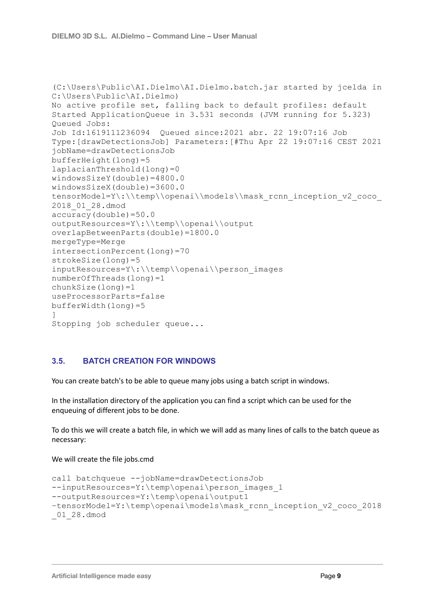```
(C:\Users\Public\AI.Dielmo\AI.Dielmo.batch.jar started by jcelda in
C:\Users\Public\AI.Dielmo)
No active profile set, falling back to default profiles: default
Started ApplicationQueue in 3.531 seconds (JVM running for 5.323)
Queued Jobs:
Job Id:1619111236094 Queued since:2021 abr. 22 19:07:16 Job
Type:[drawDetectionsJob] Parameters:[#Thu Apr 22 19:07:16 CEST 2021
jobName=drawDetectionsJob
bufferHeight(long)=5
laplacianThreshold(long)=0
windowsSizeY(double)=4800.0
windowsSizeX(double)=3600.0
tensorModel=Y\:\\temp\\openai\\models\\mask_rcnn_inception_v2_coco
2018_01_28.dmod
accuracy(double)=50.0
outputResources=Y\:\\temp\\openai\\output
overlapBetweenParts(double)=1800.0
mergeType=Merge
intersectionPercent(long)=70
strokeSize(long)=5
inputResources=Y\:\\temp\\openai\\person_images
numberOfThreads(long)=1
chunkSize(long)=1
useProcessorParts=false
bufferWidth(long)=5
]
Stopping job scheduler queue...
```
#### **3.5. BATCH CREATION FOR WINDOWS**

You can create batch's to be able to queue many jobs using a batch script in windows.

In the installation directory of the application you can find a script which can be used for the enqueuing of different jobs to be done.

To do this we will create a batch file, in which we will add as many lines of calls to the batch queue as necessary:

We will create the file jobs.cmd

```
call batchqueue --jobName=drawDetectionsJob
--inputResources=Y:\temp\openai\person_images_1
--outputResources=Y:\temp\openai\output1
–tensorModel=Y:\temp\openai\models\mask_rcnn_inception_v2_coco_2018
_01_28.dmod
```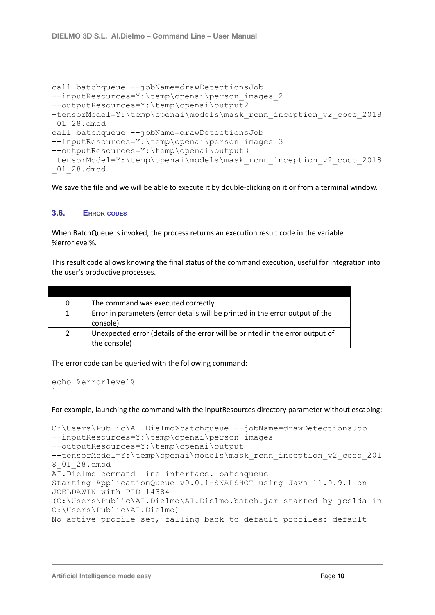```
call batchqueue --jobName=drawDetectionsJob
--inputResources=Y:\temp\openai\person_images_2
--outputResources=Y:\temp\openai\output2
–tensorModel=Y:\temp\openai\models\mask_rcnn_inception_v2_coco_2018
_01_28.dmod
call batchqueue --jobName=drawDetectionsJob
--inputResources=Y:\temp\openai\person_images_3
--outputResources=Y:\temp\openai\output3
–tensorModel=Y:\temp\openai\models\mask_rcnn_inception_v2_coco_2018
01 28.dmod
```
We save the file and we will be able to execute it by double-clicking on it or from a terminal window.

#### **3.6. ERROR CODES**

When BatchQueue is invoked, the process returns an execution result code in the variable %errorlevel%.

This result code allows knowing the final status of the command execution, useful for integration into the user's productive processes.

| 0            | The command was executed correctly                                            |
|--------------|-------------------------------------------------------------------------------|
| $\mathbf{1}$ | Error in parameters (error details will be printed in the error output of the |
|              | console)                                                                      |
| $2^{\circ}$  | Unexpected error (details of the error will be printed in the error output of |
|              | the console)                                                                  |

The error code can be queried with the following command:

```
echo %errorlevel%
1
```
For example, launching the command with the inputResources directory parameter without escaping:

```
C:\Users\Public\AI.Dielmo>batchqueue --jobName=drawDetectionsJob
--inputResources=Y:\temp\openai\person images
--outputResources=Y:\temp\openai\output
--tensorModel=Y:\temp\openai\models\mask_rcnn_inception_v2_coco_201
8_01_28.dmod
AI.Dielmo command line interface. batchqueue
Starting ApplicationQueue v0.0.1-SNAPSHOT using Java 11.0.9.1 on
JCELDAWIN with PID 14384
(C:\Users\Public\AI.Dielmo\AI.Dielmo.batch.jar started by jcelda in
C:\Users\Public\AI.Dielmo)
No active profile set, falling back to default profiles: default
```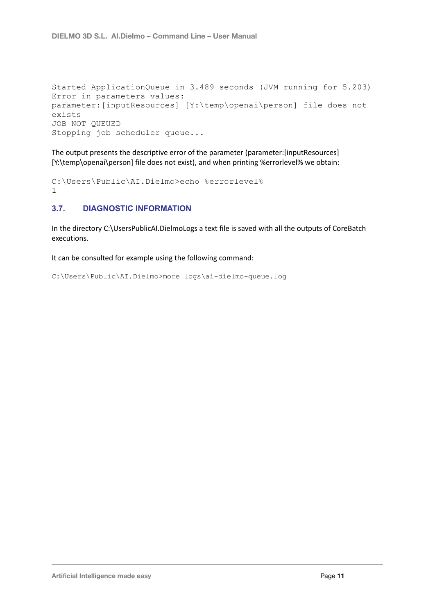```
Started ApplicationQueue in 3.489 seconds (JVM running for 5.203)
Error in parameters values:
parameter:[inputResources] [Y:\temp\openai\person] file does not
exists
JOB NOT QUEUED
Stopping job scheduler queue...
```
The output presents the descriptive error of the parameter (parameter:[inputResources] [Y:\temp\openai\person] file does not exist), and when printing %errorlevel% we obtain:

```
C:\Users\Public\AI.Dielmo>echo %errorlevel%
1
```
#### **3.7. DIAGNOSTIC INFORMATION**

In the directory C:\UsersPublicAI.DielmoLogs a text file is saved with all the outputs of CoreBatch executions.

It can be consulted for example using the following command:

```
C:\Users\Public\AI.Dielmo>more logs\ai-dielmo-queue.log
```